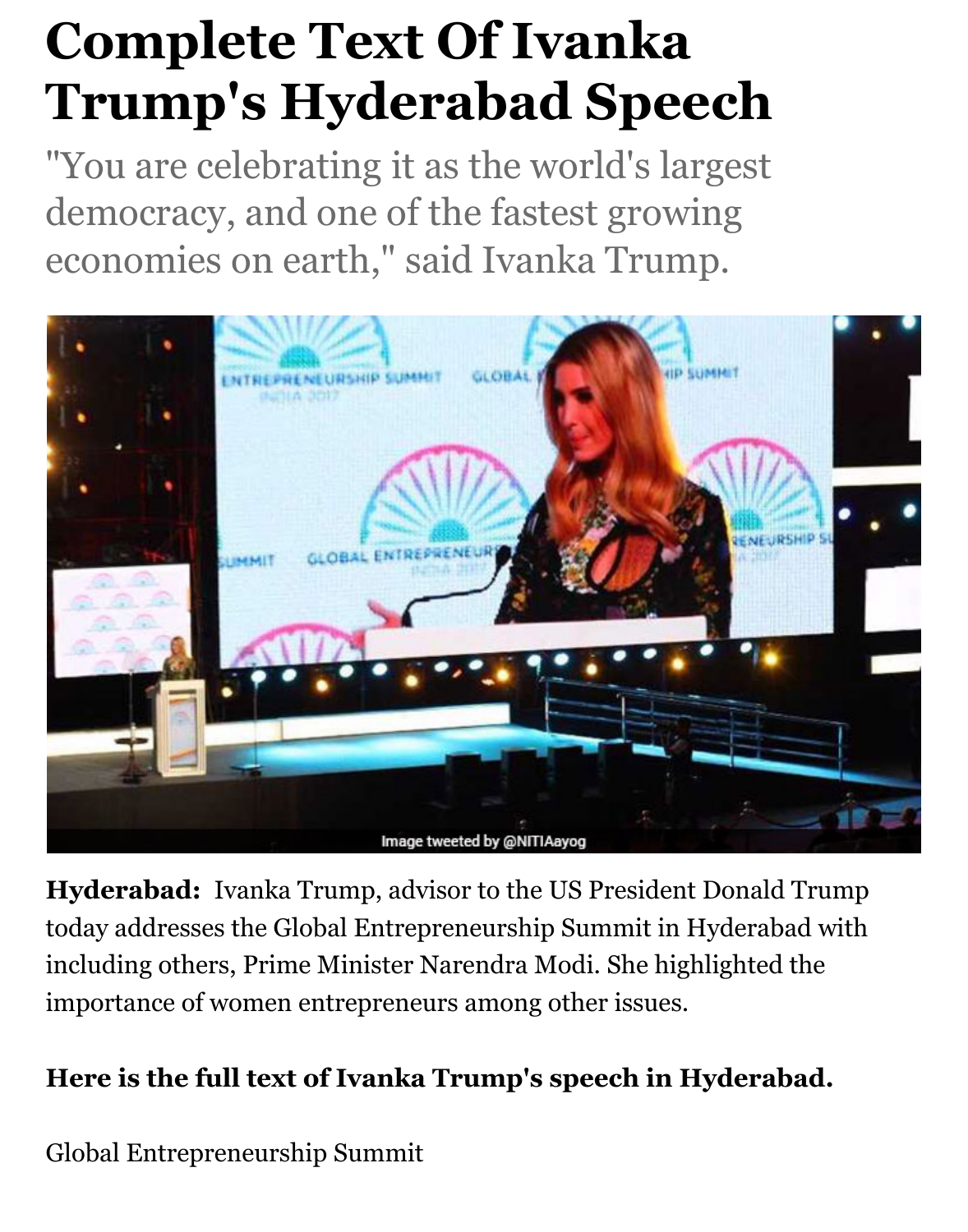## **Complete Text Of Ivanka Trump's Hyderabad Speech**

"You are celebrating it as the world's largest democracy, and one of the fastest growing economies on earth," said Ivanka Trump.



**Hyderabad:** Ivanka Trump, advisor to the US President Donald Trump today addresses the Global Entrepreneurship Summit in Hyderabad with including others, Prime Minister Narendra Modi. She highlighted the importance of women entrepreneurs among other issues.

## **Here is the full text of Ivanka Trump's speech in Hyderabad.**

Global Entrepreneurship Summit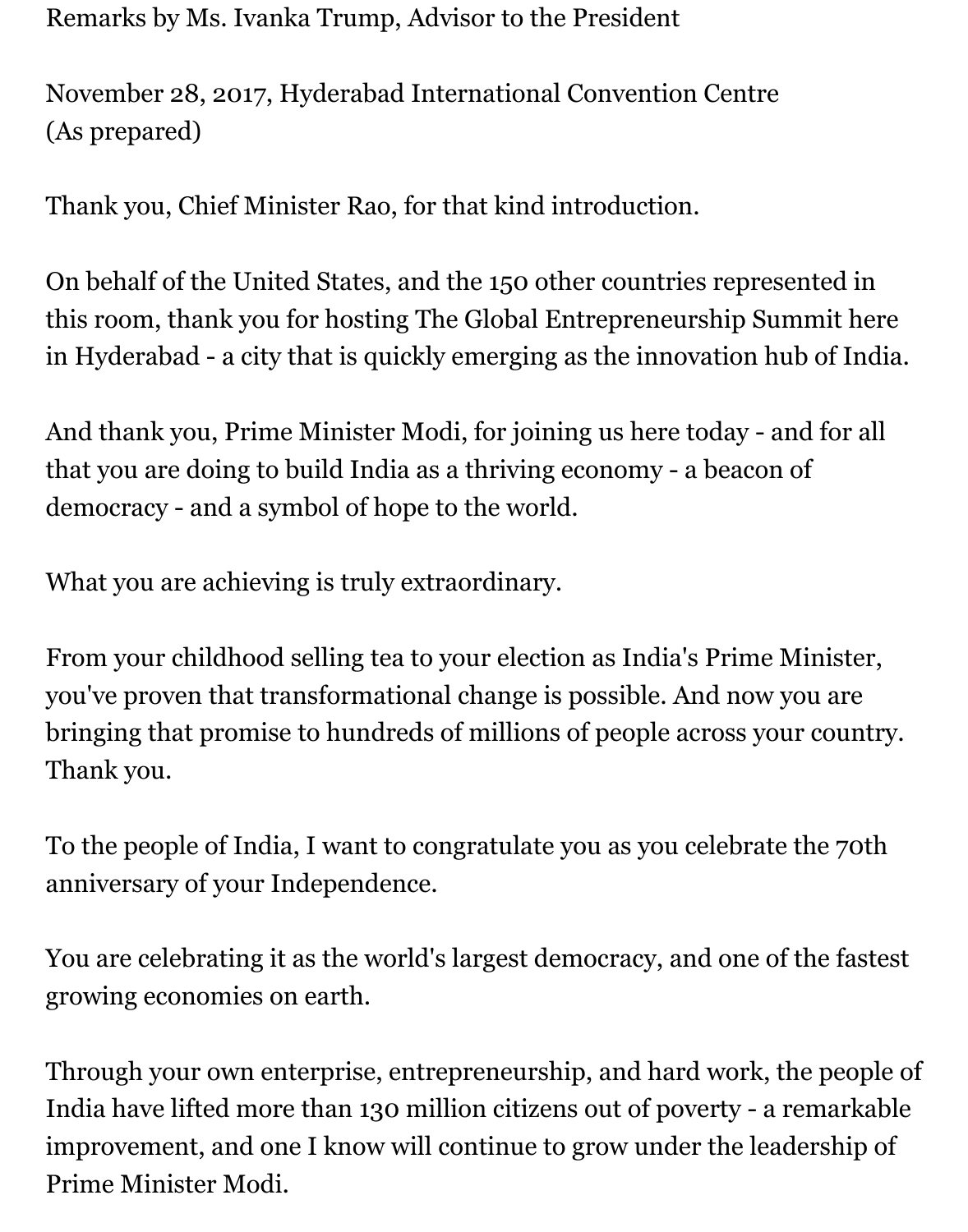Remarks by Ms. Ivanka Trump, Advisor to the President

November 28, 2017, Hyderabad International Convention Centre (As prepared)

Thank you, Chief Minister Rao, for that kind introduction.

On behalf of the United States, and the 150 other countries represented in this room, thank you for hosting The Global Entrepreneurship Summit here in Hyderabad - a city that is quickly emerging as the innovation hub of India.

And thank you, Prime Minister Modi, for joining us here today - and for all that you are doing to build India as a thriving economy - a beacon of democracy - and a symbol of hope to the world.

What you are achieving is truly extraordinary.

From your childhood selling tea to your election as India's Prime Minister, you've proven that transformational change is possible. And now you are bringing that promise to hundreds of millions of people across your country. Thank you.

To the people of India, I want to congratulate you as you celebrate the 70th anniversary of your Independence.

You are celebrating it as the world's largest democracy, and one of the fastest growing economies on earth.

Through your own enterprise, entrepreneurship, and hard work, the people of India have lifted more than 130 million citizens out of poverty - a remarkable improvement, and one I know will continue to grow under the leadership of Prime Minister Modi.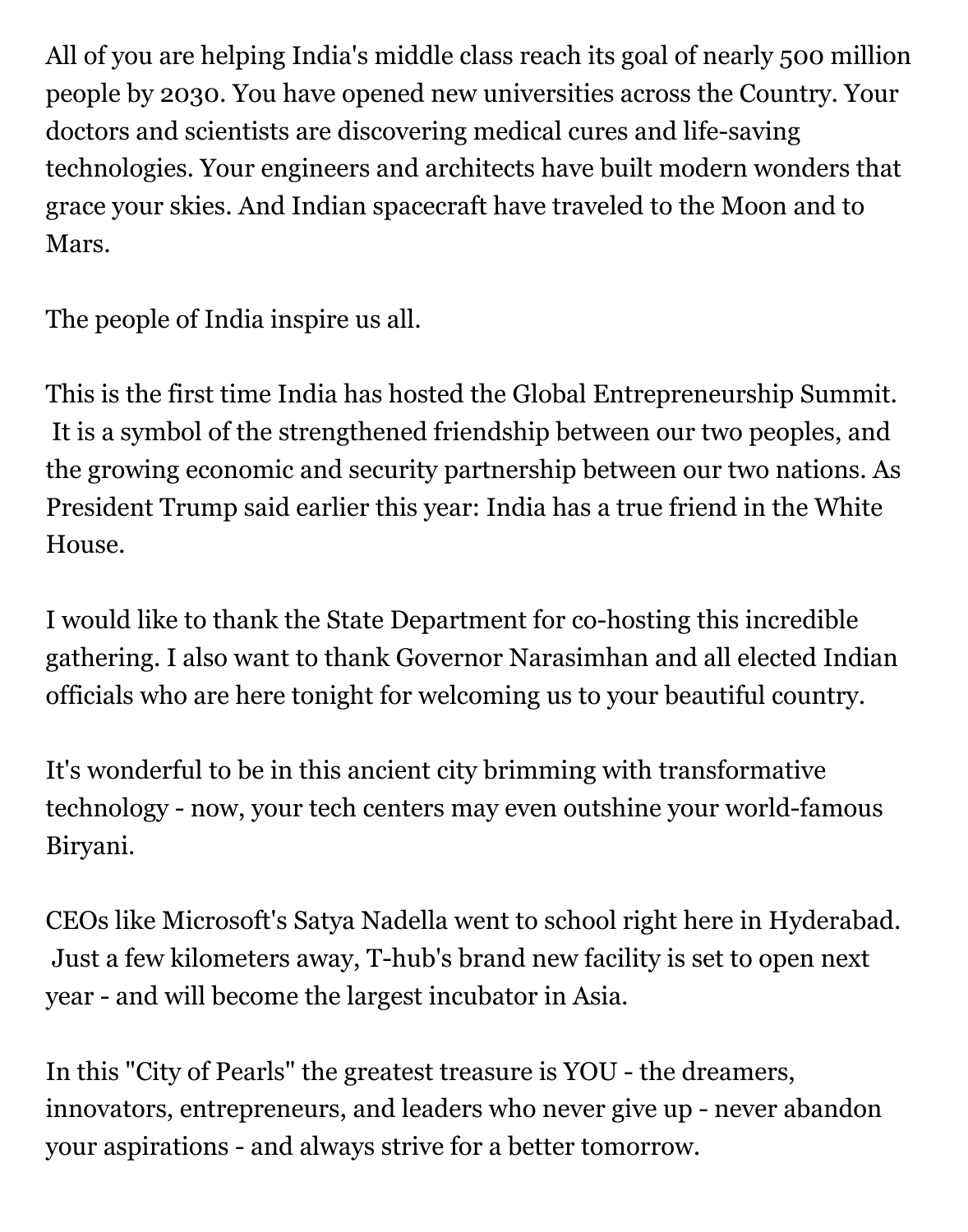All of you are helping India's middle class reach its goal of nearly 500 million people by 2030. You have opened new universities across the Country. Your doctors and scientists are discovering medical cures and life-saving technologies. Your engineers and architects have built modern wonders that grace your skies. And Indian spacecraft have traveled to the Moon and to Mars.

The people of India inspire us all.

This is the first time India has hosted the Global Entrepreneurship Summit. It is a symbol of the strengthened friendship between our two peoples, and the growing economic and security partnership between our two nations. As President Trump said earlier this year: India has a true friend in the White House.

I would like to thank the State Department for co-hosting this incredible gathering. I also want to thank Governor Narasimhan and all elected Indian officials who are here tonight for welcoming us to your beautiful country.

It's wonderful to be in this ancient city brimming with transformative technology - now, your tech centers may even outshine your world-famous Biryani.

CEOs like Microsoft's Satya Nadella went to school right here in Hyderabad. Just a few kilometers away, T-hub's brand new facility is set to open next year - and will become the largest incubator in Asia.

In this "City of Pearls" the greatest treasure is YOU - the dreamers, innovators, entrepreneurs, and leaders who never give up - never abandon your aspirations - and always strive for a better tomorrow.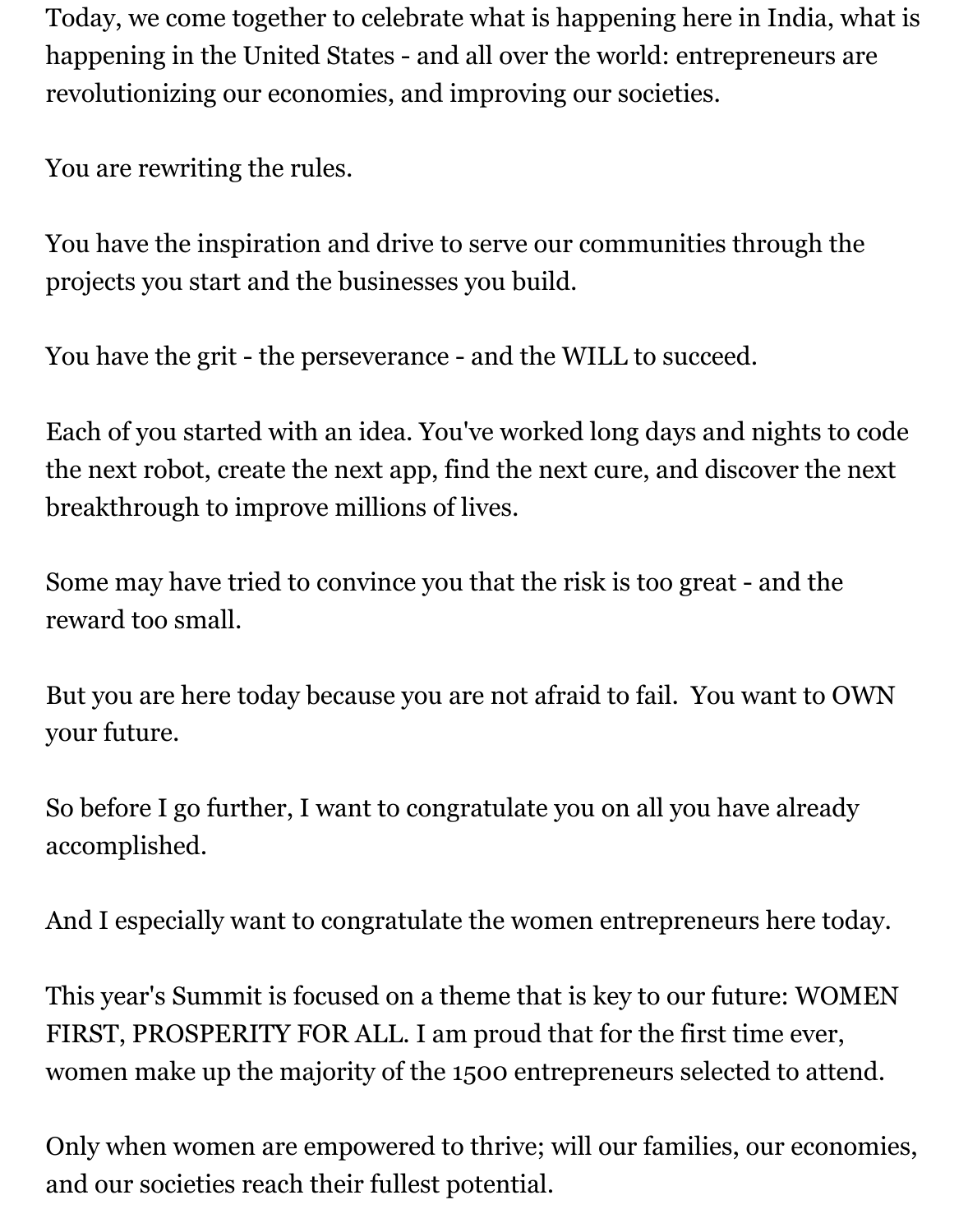Today, we come together to celebrate what is happening here in India, what is happening in the United States - and all over the world: entrepreneurs are revolutionizing our economies, and improving our societies.

You are rewriting the rules.

You have the inspiration and drive to serve our communities through the projects you start and the businesses you build.

You have the grit - the perseverance - and the WILL to succeed.

Each of you started with an idea. You've worked long days and nights to code the next robot, create the next app, find the next cure, and discover the next breakthrough to improve millions of lives.

Some may have tried to convince you that the risk is too great - and the reward too small.

But you are here today because you are not afraid to fail. You want to OWN your future.

So before I go further, I want to congratulate you on all you have already accomplished.

And I especially want to congratulate the women entrepreneurs here today.

This year's Summit is focused on a theme that is key to our future: WOMEN FIRST, PROSPERITY FOR ALL. I am proud that for the first time ever, women make up the majority of the 1500 entrepreneurs selected to attend.

Only when women are empowered to thrive; will our families, our economies, and our societies reach their fullest potential.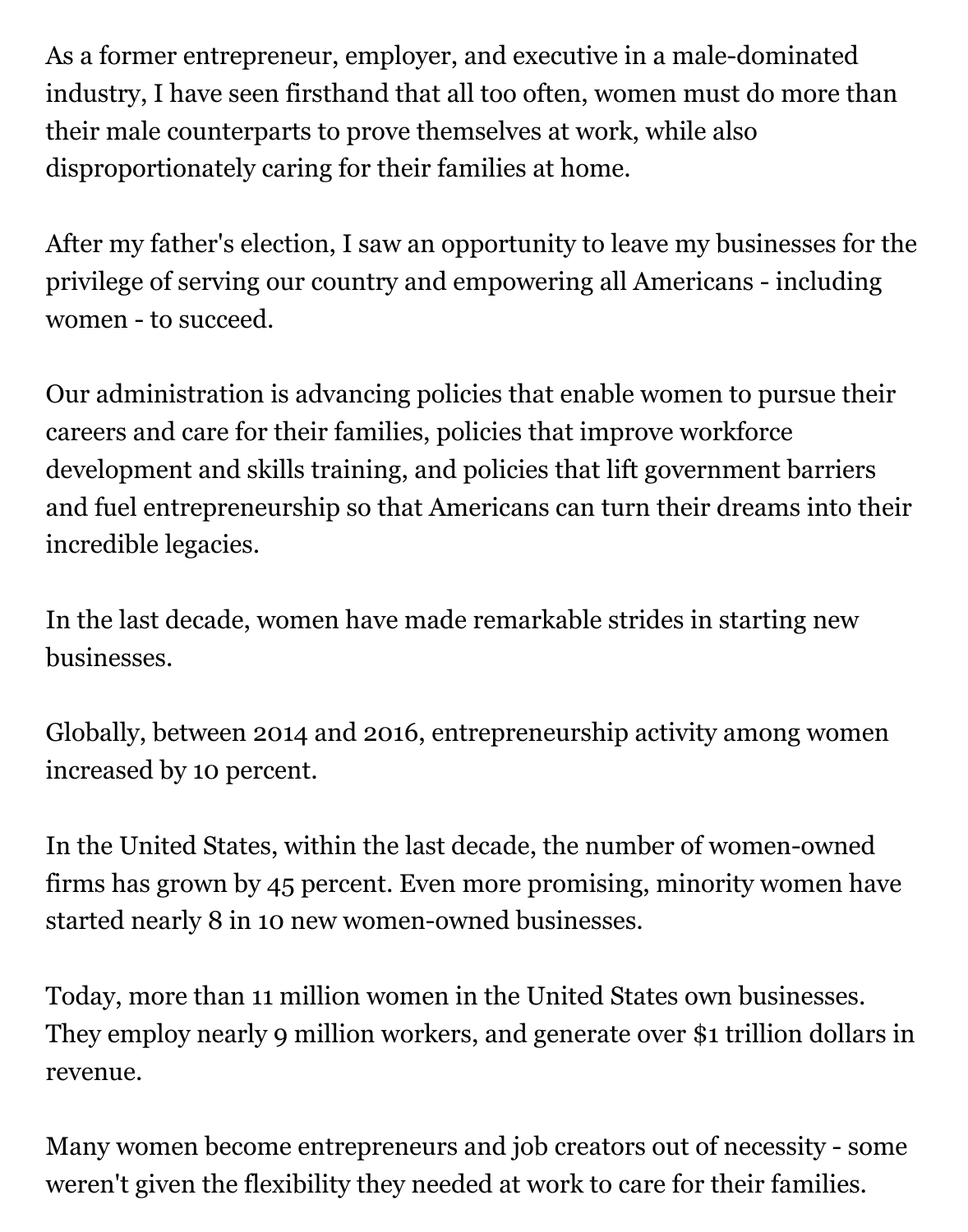As a former entrepreneur, employer, and executive in a male-dominated industry, I have seen firsthand that all too often, women must do more than their male counterparts to prove themselves at work, while also disproportionately caring for their families at home.

After my father's election, I saw an opportunity to leave my businesses for the privilege of serving our country and empowering all Americans - including women - to succeed.

Our administration is advancing policies that enable women to pursue their careers and care for their families, policies that improve workforce development and skills training, and policies that lift government barriers and fuel entrepreneurship so that Americans can turn their dreams into their incredible legacies.

In the last decade, women have made remarkable strides in starting new businesses.

Globally, between 2014 and 2016, entrepreneurship activity among women increased by 10 percent.

In the United States, within the last decade, the number of women-owned firms has grown by 45 percent. Even more promising, minority women have started nearly 8 in 10 new women-owned businesses.

Today, more than 11 million women in the United States own businesses. They employ nearly 9 million workers, and generate over \$1 trillion dollars in revenue.

Many women become entrepreneurs and job creators out of necessity - some weren't given the flexibility they needed at work to care for their families.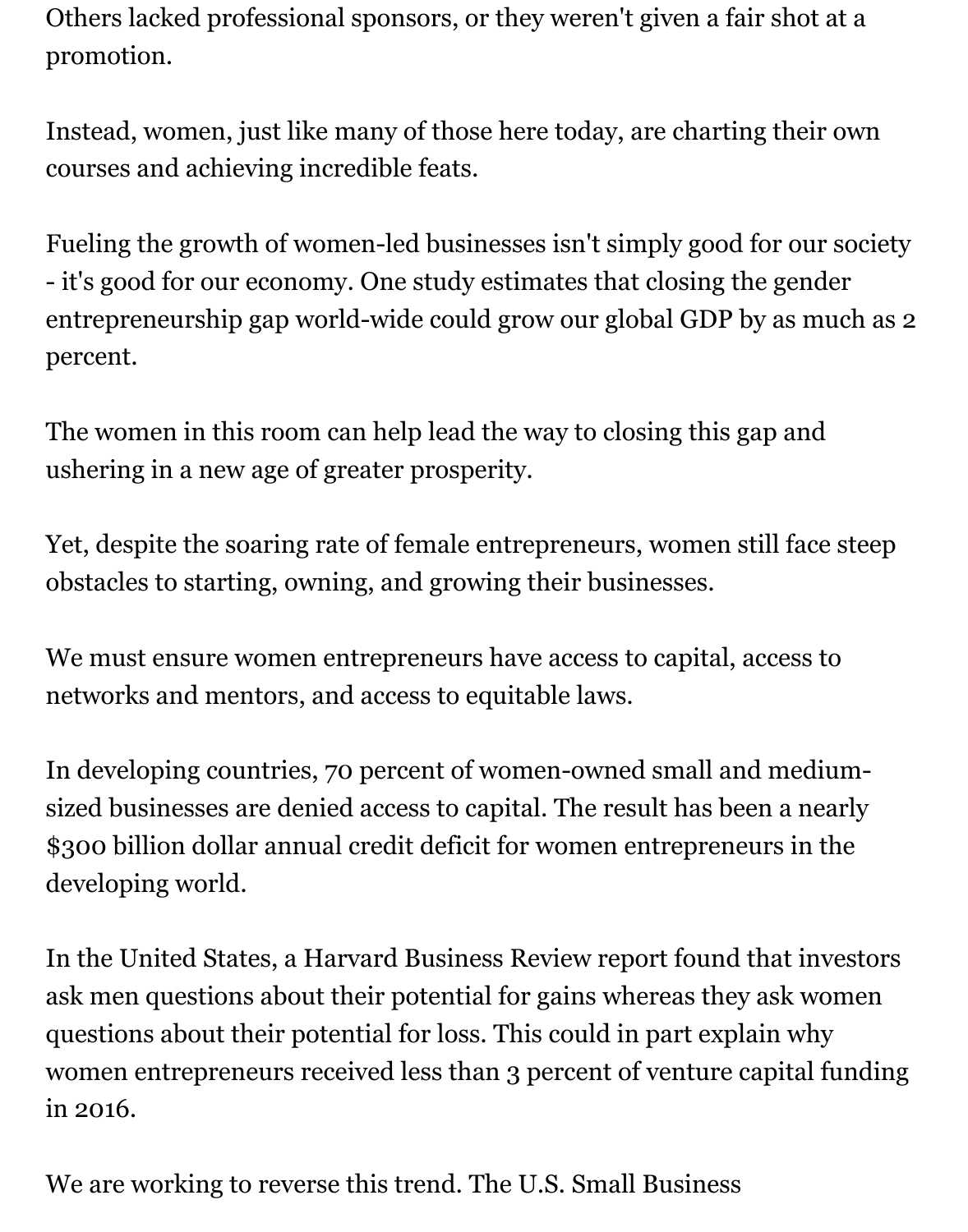Others lacked professional sponsors, or they weren't given a fair shot at a promotion.

Instead, women, just like many of those here today, are charting their own courses and achieving incredible feats.

Fueling the growth of women-led businesses isn't simply good for our society - it's good for our economy. One study estimates that closing the gender entrepreneurship gap world-wide could grow our global GDP by as much as 2 percent.

The women in this room can help lead the way to closing this gap and ushering in a new age of greater prosperity.

Yet, despite the soaring rate of female entrepreneurs, women still face steep obstacles to starting, owning, and growing their businesses.

We must ensure women entrepreneurs have access to capital, access to networks and mentors, and access to equitable laws.

In developing countries, 70 percent of women-owned small and mediumsized businesses are denied access to capital. The result has been a nearly \$300 billion dollar annual credit deficit for women entrepreneurs in the developing world.

In the United States, a Harvard Business Review report found that investors ask men questions about their potential for gains whereas they ask women questions about their potential for loss. This could in part explain why women entrepreneurs received less than 3 percent of venture capital funding in 2016.

We are working to reverse this trend. The U.S. Small Business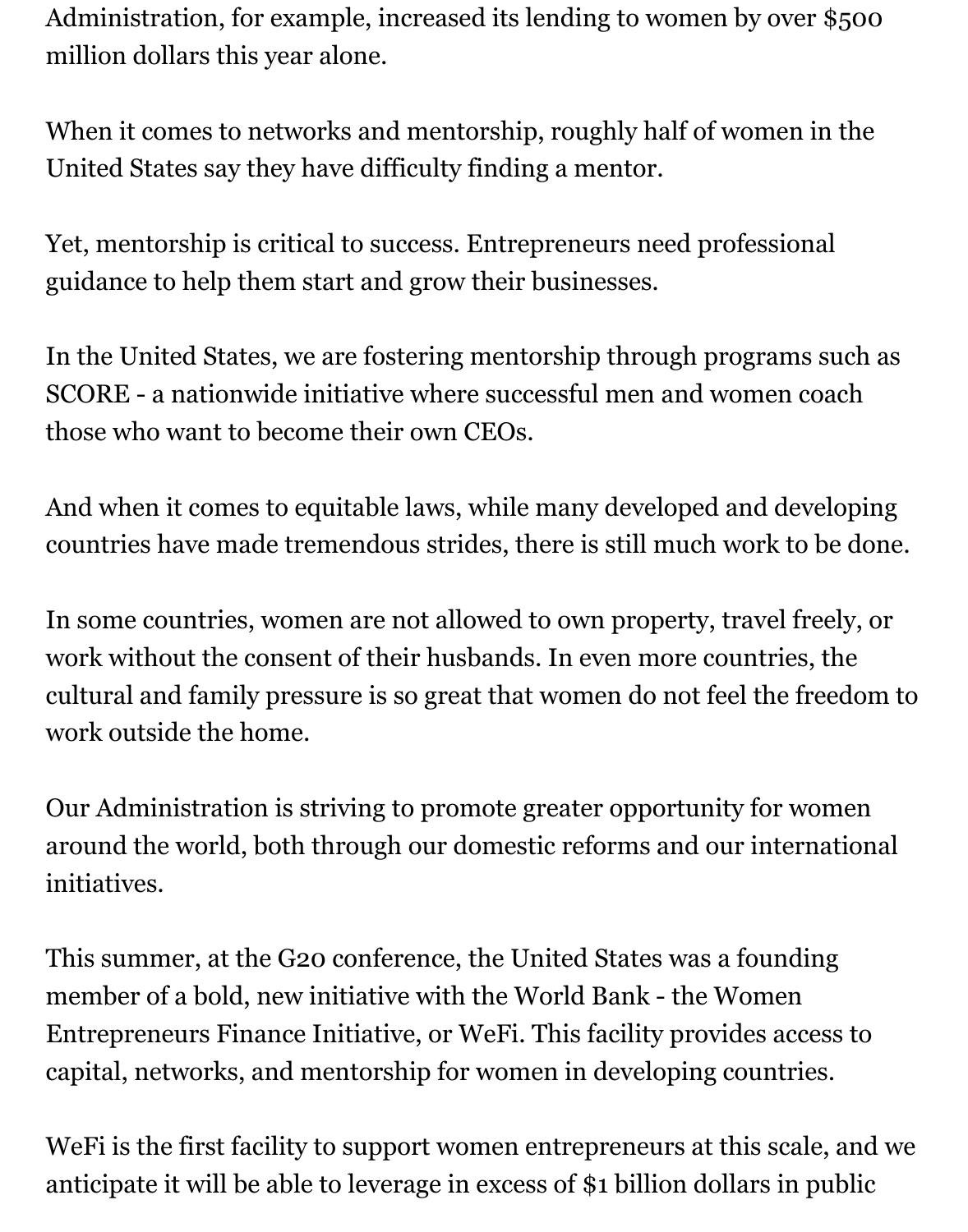Administration, for example, increased its lending to women by over \$500 million dollars this year alone.

When it comes to networks and mentorship, roughly half of women in the United States say they have difficulty finding a mentor.

Yet, mentorship is critical to success. Entrepreneurs need professional guidance to help them start and grow their businesses.

In the United States, we are fostering mentorship through programs such as SCORE - a nationwide initiative where successful men and women coach those who want to become their own CEOs.

And when it comes to equitable laws, while many developed and developing countries have made tremendous strides, there is still much work to be done.

In some countries, women are not allowed to own property, travel freely, or work without the consent of their husbands. In even more countries, the cultural and family pressure is so great that women do not feel the freedom to work outside the home.

Our Administration is striving to promote greater opportunity for women around the world, both through our domestic reforms and our international initiatives.

This summer, at the G20 conference, the United States was a founding member of a bold, new initiative with the World Bank - the Women Entrepreneurs Finance Initiative, or WeFi. This facility provides access to capital, networks, and mentorship for women in developing countries.

WeFi is the first facility to support women entrepreneurs at this scale, and we anticipate it will be able to leverage in excess of \$1 billion dollars in public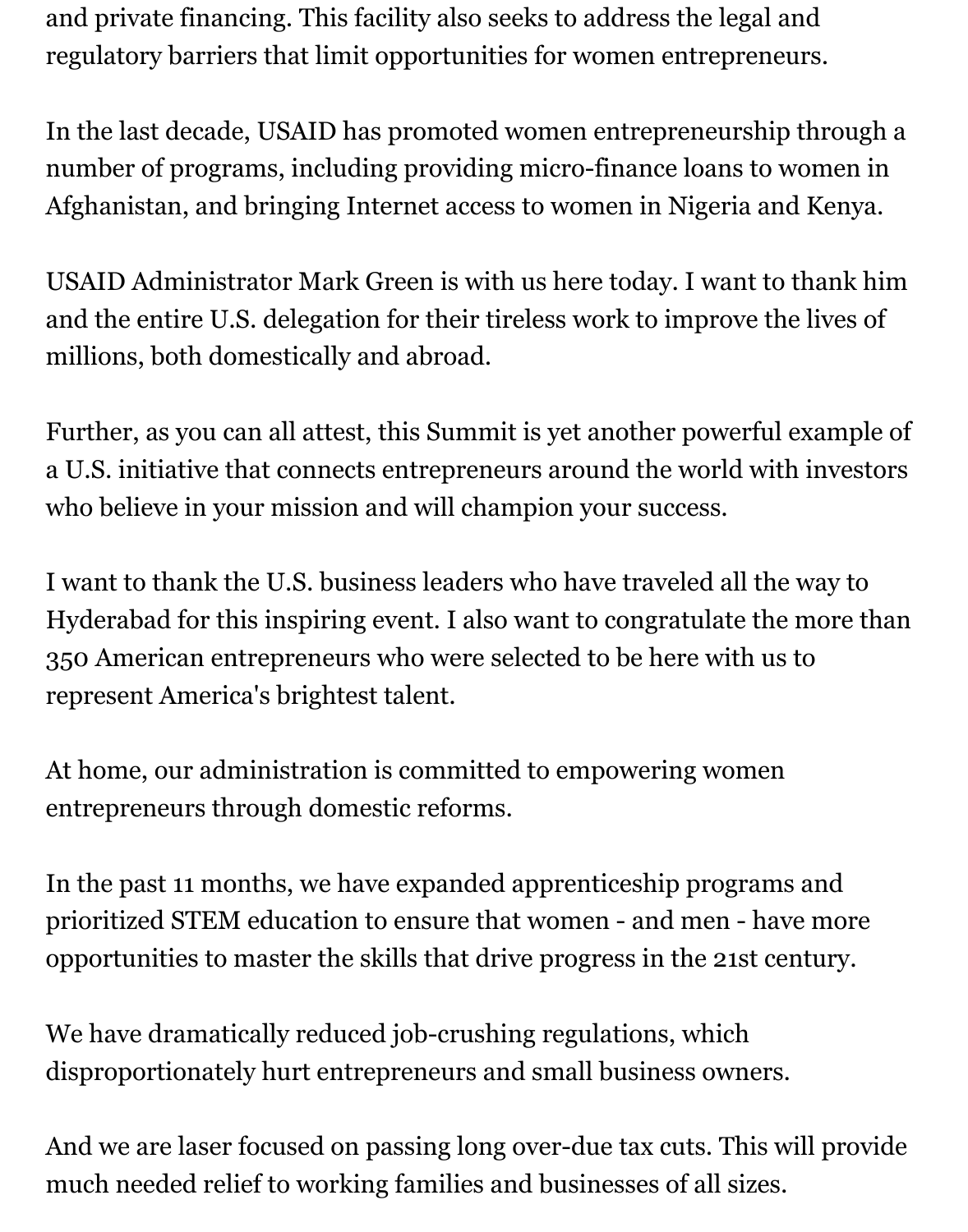and private financing. This facility also seeks to address the legal and regulatory barriers that limit opportunities for women entrepreneurs.

In the last decade, USAID has promoted women entrepreneurship through a number of programs, including providing micro-finance loans to women in Afghanistan, and bringing Internet access to women in Nigeria and Kenya.

USAID Administrator Mark Green is with us here today. I want to thank him and the entire U.S. delegation for their tireless work to improve the lives of millions, both domestically and abroad.

Further, as you can all attest, this Summit is yet another powerful example of a U.S. initiative that connects entrepreneurs around the world with investors who believe in your mission and will champion your success.

I want to thank the U.S. business leaders who have traveled all the way to Hyderabad for this inspiring event. I also want to congratulate the more than 350 American entrepreneurs who were selected to be here with us to represent America's brightest talent.

At home, our administration is committed to empowering women entrepreneurs through domestic reforms.

In the past 11 months, we have expanded apprenticeship programs and prioritized STEM education to ensure that women - and men - have more opportunities to master the skills that drive progress in the 21st century.

We have dramatically reduced job-crushing regulations, which disproportionately hurt entrepreneurs and small business owners.

And we are laser focused on passing long over-due tax cuts. This will provide much needed relief to working families and businesses of all sizes.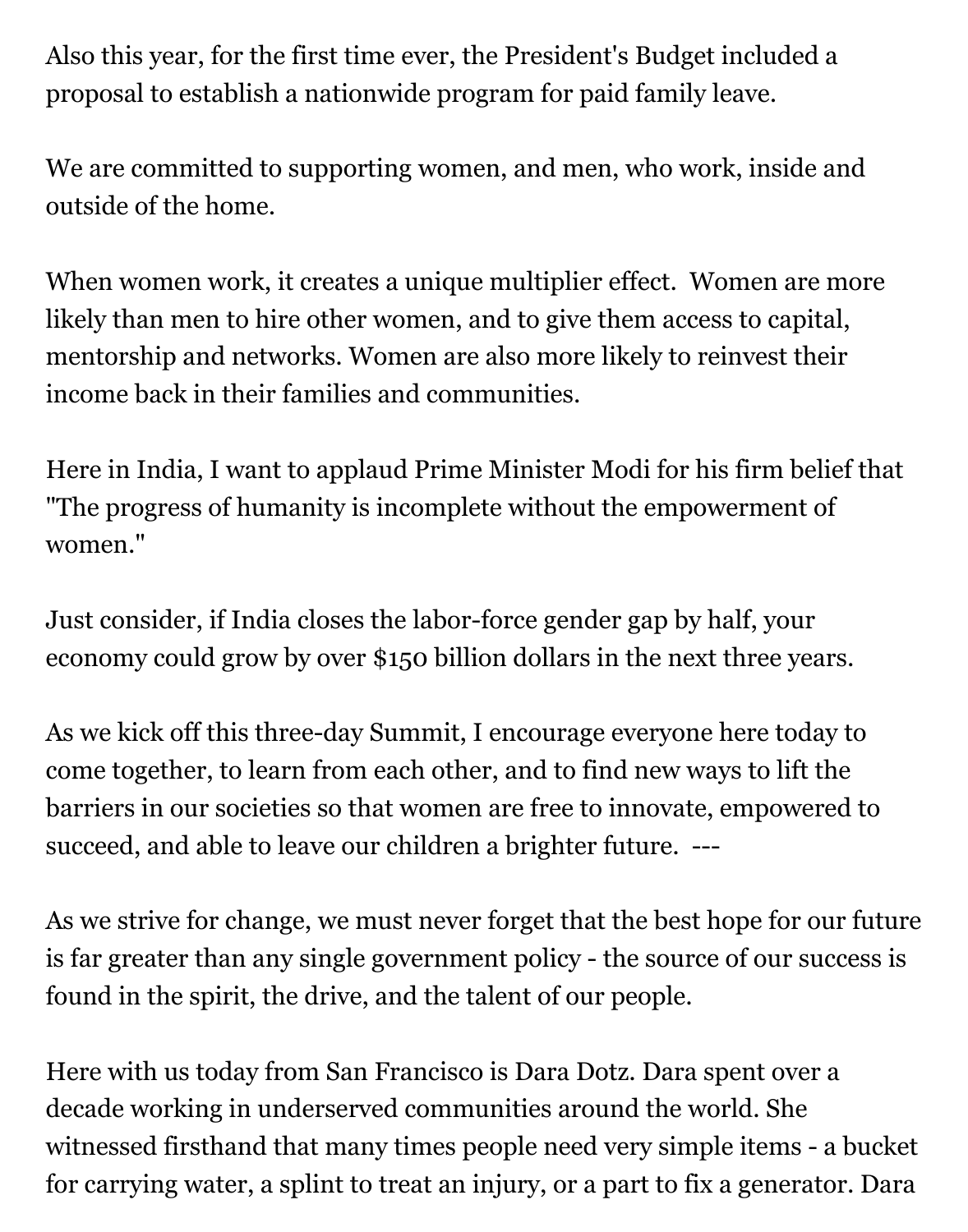Also this year, for the first time ever, the President's Budget included a proposal to establish a nationwide program for paid family leave.

We are committed to supporting women, and men, who work, inside and outside of the home.

When women work, it creates a unique multiplier effect. Women are more likely than men to hire other women, and to give them access to capital, mentorship and networks. Women are also more likely to reinvest their income back in their families and communities.

Here in India, I want to applaud Prime Minister Modi for his firm belief that "The progress of humanity is incomplete without the empowerment of women."

Just consider, if India closes the labor-force gender gap by half, your economy could grow by over \$150 billion dollars in the next three years.

As we kick off this three-day Summit, I encourage everyone here today to come together, to learn from each other, and to find new ways to lift the barriers in our societies so that women are free to innovate, empowered to succeed, and able to leave our children a brighter future. ---

As we strive for change, we must never forget that the best hope for our future is far greater than any single government policy - the source of our success is found in the spirit, the drive, and the talent of our people.

Here with us today from San Francisco is Dara Dotz. Dara spent over a decade working in underserved communities around the world. She witnessed firsthand that many times people need very simple items - a bucket for carrying water, a splint to treat an injury, or a part to fix a generator. Dara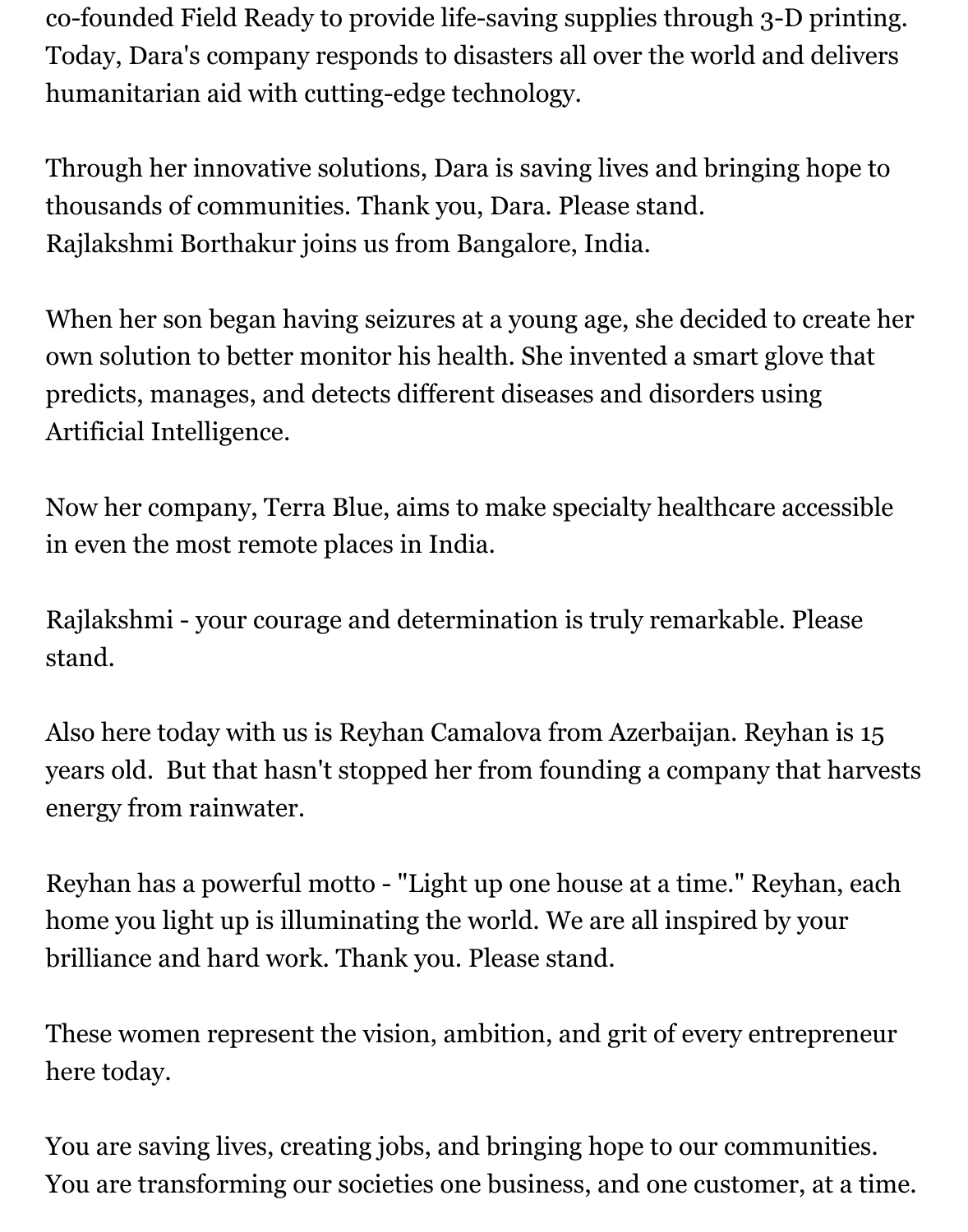co-founded Field Ready to provide life-saving supplies through 3-D printing. Today, Dara's company responds to disasters all over the world and delivers humanitarian aid with cutting-edge technology.

Through her innovative solutions, Dara is saving lives and bringing hope to thousands of communities. Thank you, Dara. Please stand. Rajlakshmi Borthakur joins us from Bangalore, India.

When her son began having seizures at a young age, she decided to create her own solution to better monitor his health. She invented a smart glove that predicts, manages, and detects different diseases and disorders using Artificial Intelligence.

Now her company, Terra Blue, aims to make specialty healthcare accessible in even the most remote places in India.

Rajlakshmi - your courage and determination is truly remarkable. Please stand.

Also here today with us is Reyhan Camalova from Azerbaijan. Reyhan is 15 years old. But that hasn't stopped her from founding a company that harvests energy from rainwater.

Reyhan has a powerful motto - "Light up one house at a time." Reyhan, each home you light up is illuminating the world. We are all inspired by your brilliance and hard work. Thank you. Please stand.

These women represent the vision, ambition, and grit of every entrepreneur here today.

You are saving lives, creating jobs, and bringing hope to our communities. You are transforming our societies one business, and one customer, at a time.